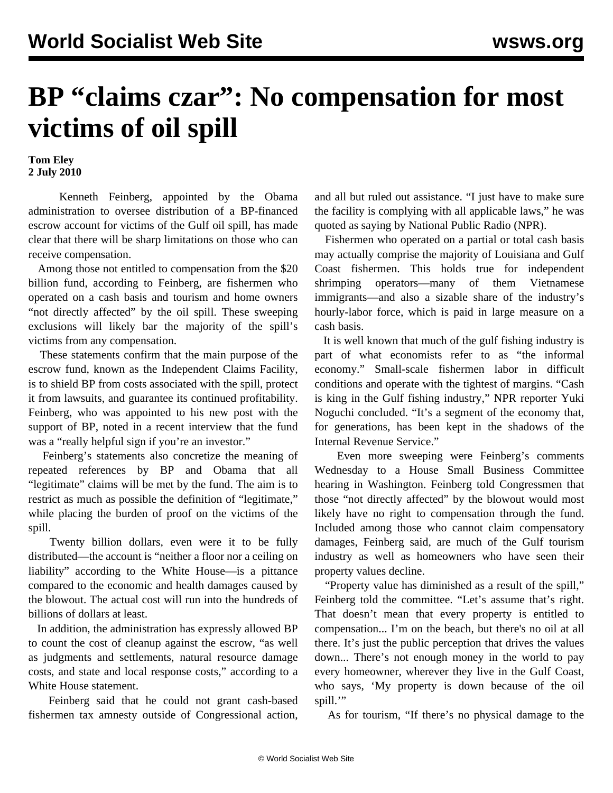## **BP "claims czar": No compensation for most victims of oil spill**

**Tom Eley 2 July 2010**

 Kenneth Feinberg, appointed by the Obama administration to oversee distribution of a BP-financed escrow account for victims of the Gulf oil spill, has made clear that there will be sharp limitations on those who can receive compensation.

 Among those not entitled to compensation from the \$20 billion fund, according to Feinberg, are fishermen who operated on a cash basis and tourism and home owners "not directly affected" by the oil spill. These sweeping exclusions will likely bar the majority of the spill's victims from any compensation.

 These statements confirm that the main purpose of the escrow fund, known as the Independent Claims Facility, is to shield BP from costs associated with the spill, protect it from lawsuits, and guarantee its continued profitability. Feinberg, who was appointed to his new post with the support of BP, noted in a recent interview that the fund was a "really helpful sign if you're an investor."

 Feinberg's statements also concretize the meaning of repeated references by BP and Obama that all "legitimate" claims will be met by the fund. The aim is to restrict as much as possible the definition of "legitimate," while placing the burden of proof on the victims of the spill.

 Twenty billion dollars, even were it to be fully distributed—the account is "neither a floor nor a ceiling on liability" according to the White House—is a pittance compared to the economic and health damages caused by the blowout. The actual cost will run into the hundreds of billions of dollars at least.

 In addition, the administration has expressly allowed BP to count the cost of cleanup against the escrow, "as well as judgments and settlements, natural resource damage costs, and state and local response costs," according to a White House statement.

 Feinberg said that he could not grant cash-based fishermen tax amnesty outside of Congressional action,

and all but ruled out assistance. "I just have to make sure the facility is complying with all applicable laws," he was quoted as saying by National Public Radio (NPR).

 Fishermen who operated on a partial or total cash basis may actually comprise the majority of Louisiana and Gulf Coast fishermen. This holds true for independent shrimping operators—many of them Vietnamese immigrants—and also a sizable share of the industry's hourly-labor force, which is paid in large measure on a cash basis.

 It is well known that much of the gulf fishing industry is part of what economists refer to as "the informal economy." Small-scale fishermen labor in difficult conditions and operate with the tightest of margins. "Cash is king in the Gulf fishing industry," NPR reporter Yuki Noguchi concluded. "It's a segment of the economy that, for generations, has been kept in the shadows of the Internal Revenue Service."

 Even more sweeping were Feinberg's comments Wednesday to a House Small Business Committee hearing in Washington. Feinberg told Congressmen that those "not directly affected" by the blowout would most likely have no right to compensation through the fund. Included among those who cannot claim compensatory damages, Feinberg said, are much of the Gulf tourism industry as well as homeowners who have seen their property values decline.

 "Property value has diminished as a result of the spill," Feinberg told the committee. "Let's assume that's right. That doesn't mean that every property is entitled to compensation... I'm on the beach, but there's no oil at all there. It's just the public perception that drives the values down... There's not enough money in the world to pay every homeowner, wherever they live in the Gulf Coast, who says, 'My property is down because of the oil spill."

As for tourism, "If there's no physical damage to the